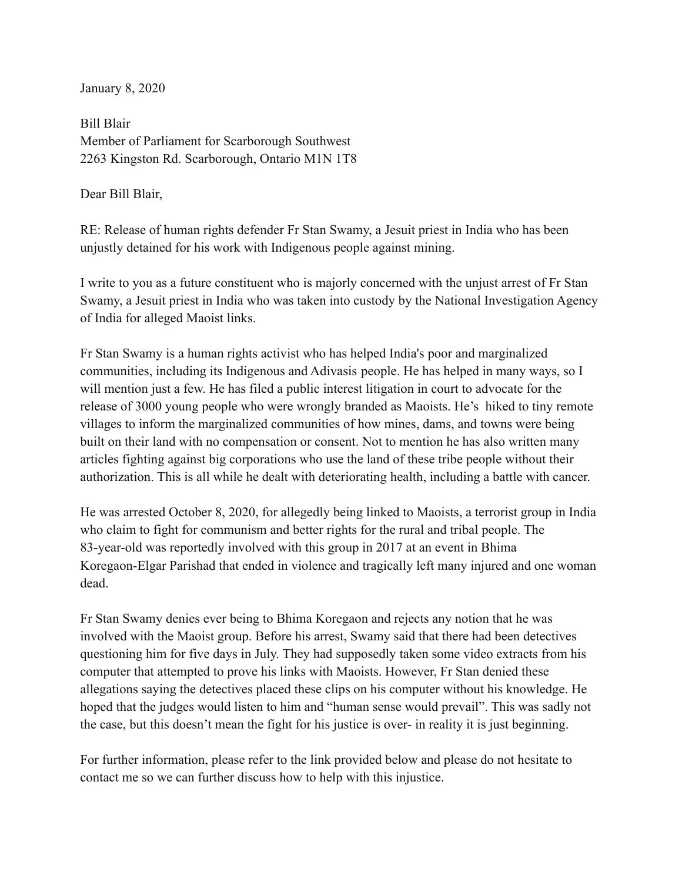January 8, 2020

Bill Blair Member of Parliament for Scarborough Southwest 2263 Kingston Rd. Scarborough, Ontario M1N 1T8

Dear Bill Blair,

RE: Release of human rights defender Fr Stan Swamy, a Jesuit priest in India who has been unjustly detained for his work with Indigenous people against mining.

I write to you as a future constituent who is majorly concerned with the unjust arrest of Fr Stan Swamy, a Jesuit priest in India who was taken into custody by the National Investigation Agency of India for alleged Maoist links.

Fr Stan Swamy is a human rights activist who has helped India's poor and marginalized communities, including its Indigenous and Adivasis people. He has helped in many ways, so I will mention just a few. He has filed a public interest litigation in court to advocate for the release of 3000 young people who were wrongly branded as Maoists. He's hiked to tiny remote villages to inform the marginalized communities of how mines, dams, and towns were being built on their land with no compensation or consent. Not to mention he has also written many articles fighting against big corporations who use the land of these tribe people without their authorization. This is all while he dealt with deteriorating health, including a battle with cancer.

He was arrested October 8, 2020, for allegedly being linked to Maoists, a terrorist group in India who claim to fight for communism and better rights for the rural and tribal people. The 83-year-old was reportedly involved with this group in 2017 at an event in Bhima Koregaon-Elgar Parishad that ended in violence and tragically left many injured and one woman dead.

Fr Stan Swamy denies ever being to Bhima Koregaon and rejects any notion that he was involved with the Maoist group. Before his arrest, Swamy said that there had been detectives questioning him for five days in July. They had supposedly taken some video extracts from his computer that attempted to prove his links with Maoists. However, Fr Stan denied these allegations saying the detectives placed these clips on his computer without his knowledge. He hoped that the judges would listen to him and "human sense would prevail". This was sadly not the case, but this doesn't mean the fight for his justice is over- in reality it is just beginning.

For further information, please refer to the link provided below and please do not hesitate to contact me so we can further discuss how to help with this injustice.